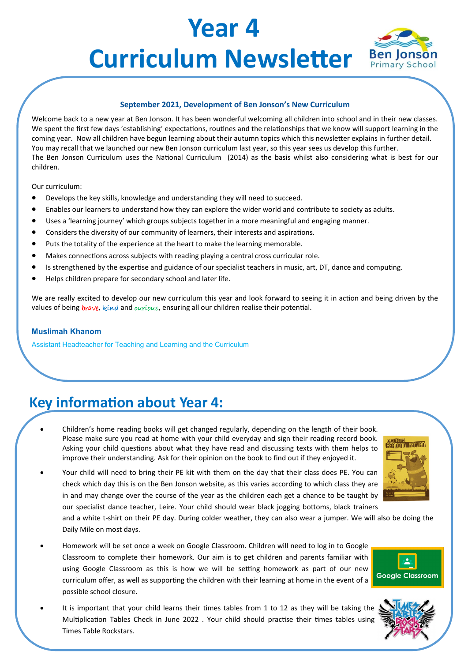# **Year 4 Curriculum Newsletter** Ben Jonson



#### **September 2021, Development of Ben Jonson's New Curriculum**

Welcome back to a new year at Ben Jonson. It has been wonderful welcoming all children into school and in their new classes. We spent the first few days 'establishing' expectations, routines and the relationships that we know will support learning in the coming year. Now all children have begun learning about their autumn topics which this newsletter explains in further detail. You may recall that we launched our new Ben Jonson curriculum last year, so this year sees us develop this further. The Ben Jonson Curriculum uses the National Curriculum (2014) as the basis whilst also considering what is best for our children.

Our curriculum:

- Develops the key skills, knowledge and understanding they will need to succeed.
- Enables our learners to understand how they can explore the wider world and contribute to society as adults.
- Uses a 'learning journey' which groups subjects together in a more meaningful and engaging manner.
- Considers the diversity of our community of learners, their interests and aspirations.
- Puts the totality of the experience at the heart to make the learning memorable.
- Makes connections across subjects with reading playing a central cross curricular role.
- Is strengthened by the expertise and guidance of our specialist teachers in music, art, DT, dance and computing.
- Helps children prepare for secondary school and later life.

We are really excited to develop our new curriculum this year and look forward to seeing it in action and being driven by the values of being brave, kind and curious, ensuring all our children realise their potential.

#### **Muslimah Khanom**

Assistant Headteacher for Teaching and Learning and the Curriculum

### **Key information about Year 4:**

- Children's home reading books will get changed regularly, depending on the length of their book. Please make sure you read at home with your child everyday and sign their reading record book. Asking your child questions about what they have read and discussing texts with them helps to improve their understanding. Ask for their opinion on the book to find out if they enjoyed it.
- Your child will need to bring their PE kit with them on the day that their class does PE. You can check which day this is on the Ben Jonson website, as this varies according to which class they are in and may change over the course of the year as the children each get a chance to be taught by our specialist dance teacher, Leire. Your child should wear black jogging bottoms, black trainers

and a white t-shirt on their PE day. During colder weather, they can also wear a jumper. We will also be doing the Daily Mile on most days.

- Homework will be set once a week on Google Classroom. Children will need to log in to Google Classroom to complete their homework. Our aim is to get children and parents familiar with using Google Classroom as this is how we will be setting homework as part of our new curriculum offer, as well as supporting the children with their learning at home in the event of a possible school closure.
- It is important that your child learns their times tables from 1 to 12 as they will be taking the Multiplication Tables Check in June 2022 . Your child should practise their times tables using Times Table Rockstars.